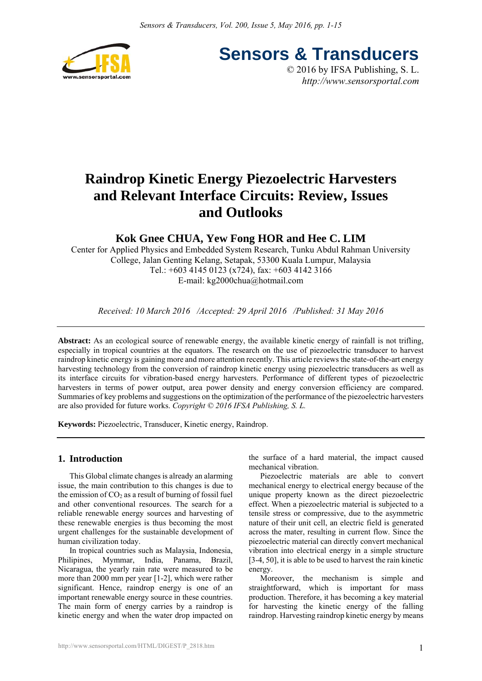

**Sensors & Transducers**

© 2016 by IFSA Publishing, S. L. *http://www.sensorsportal.com*

# **Raindrop Kinetic Energy Piezoelectric Harvesters and Relevant Interface Circuits: Review, Issues and Outlooks**

# **Kok Gnee CHUA, Yew Fong HOR and Hee C. LIM**

Center for Applied Physics and Embedded System Research, Tunku Abdul Rahman University College, Jalan Genting Kelang, Setapak, 53300 Kuala Lumpur, Malaysia Tel.: +603 4145 0123 (x724), fax: +603 4142 3166 E-mail: kg2000chua@hotmail.com

*Received: 10 March 2016 /Accepted: 29 April 2016 /Published: 31 May 2016*

**Abstract:** As an ecological source of renewable energy, the available kinetic energy of rainfall is not trifling, especially in tropical countries at the equators. The research on the use of piezoelectric transducer to harvest raindrop kinetic energy is gaining more and more attention recently. This article reviews the state-of-the-art energy harvesting technology from the conversion of raindrop kinetic energy using piezoelectric transducers as well as its interface circuits for vibration-based energy harvesters. Performance of different types of piezoelectric harvesters in terms of power output, area power density and energy conversion efficiency are compared. Summaries of key problems and suggestions on the optimization of the performance of the piezoelectric harvesters are also provided for future works. *Copyright © 2016 IFSA Publishing, S. L.*

**Keywords:** Piezoelectric, Transducer, Kinetic energy, Raindrop.

# **1. Introduction**

This Global climate changes is already an alarming issue, the main contribution to this changes is due to the emission of  $CO<sub>2</sub>$  as a result of burning of fossil fuel and other conventional resources. The search for a reliable renewable energy sources and harvesting of these renewable energies is thus becoming the most urgent challenges for the sustainable development of human civilization today.

In tropical countries such as Malaysia, Indonesia, Philipines, Mymmar, India, Panama, Brazil, Nicaragua, the yearly rain rate were measured to be more than 2000 mm per year [1-2], which were rather significant. Hence, raindrop energy is one of an important renewable energy source in these countries. The main form of energy carries by a raindrop is kinetic energy and when the water drop impacted on the surface of a hard material, the impact caused mechanical vibration.

Piezoelectric materials are able to convert mechanical energy to electrical energy because of the unique property known as the direct piezoelectric effect. When a piezoelectric material is subjected to a tensile stress or compressive, due to the asymmetric nature of their unit cell, an electric field is generated across the mater, resulting in current flow. Since the piezoelectric material can directly convert mechanical vibration into electrical energy in a simple structure [3-4, 50], it is able to be used to harvest the rain kinetic energy.

Moreover, the mechanism is simple and straightforward, which is important for mass production. Therefore, it has becoming a key material for harvesting the kinetic energy of the falling raindrop. Harvesting raindrop kinetic energy by means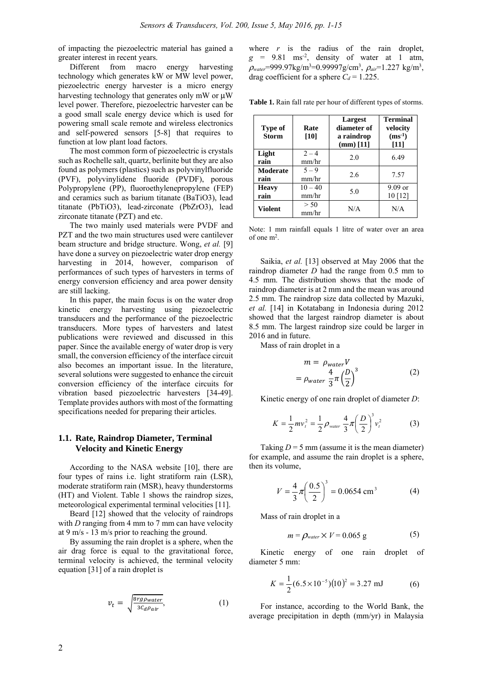of impacting the piezoelectric material has gained a greater interest in recent years.

Different from macro energy harvesting technology which generates kW or MW level power, piezoelectric energy harvester is a micro energy harvesting technology that generates only mW or μW level power. Therefore, piezoelectric harvester can be a good small scale energy device which is used for powering small scale remote and wireless electronics and self-powered sensors [5-8] that requires to function at low plant load factors.

The most common form of piezoelectric is crystals such as Rochelle salt, quartz, berlinite but they are also found as polymers (plastics) such as polyvinylfluoride (PVF), polyvinylidene fluoride (PVDF), porous Polypropylene (PP), fluoroethylenepropylene (FEP) and ceramics such as barium titanate (BaTiO3), lead titanate (PbTiO3), lead-zirconate (PbZrO3), lead zirconate titanate (PZT) and etc.

The two mainly used materials were PVDF and PZT and the two main structures used were cantilever beam structure and bridge structure. Wong, *et al.* [9] have done a survey on piezoelectric water drop energy harvesting in 2014, however, comparison of performances of such types of harvesters in terms of energy conversion efficiency and area power density are still lacking.

In this paper, the main focus is on the water drop kinetic energy harvesting using piezoelectric transducers and the performance of the piezoelectric transducers. More types of harvesters and latest publications were reviewed and discussed in this paper. Since the available energy of water drop is very small, the conversion efficiency of the interface circuit also becomes an important issue. In the literature, several solutions were suggested to enhance the circuit conversion efficiency of the interface circuits for vibration based piezoelectric harvesters [34-49]. Template provides authors with most of the formatting specifications needed for preparing their articles.

# **1.1. Rate, Raindrop Diameter, Terminal Velocity and Kinetic Energy**

According to the NASA website [10], there are four types of rains i.e. light stratiform rain (LSR), moderate stratiform rain (MSR), heavy thunderstorms (HT) and Violent. Table 1 shows the raindrop sizes, meteorological experimental terminal velocities [11].

Beard [12] showed that the velocity of raindrops with *D* ranging from 4 mm to 7 mm can have velocity at 9 m/s - 13 m/s prior to reaching the ground.

By assuming the rain droplet is a sphere, when the air drag force is equal to the gravitational force, terminal velocity is achieved, the terminal velocity equation [31] of a rain droplet is

$$
v_t = \sqrt{\frac{8rg\text{pwater}}{3C_d\rho_{air}}},\tag{1}
$$

where  $r$  is the radius of the rain droplet,  $g = 9.81$  ms<sup>-2</sup>, density of water at 1 atm, <sup>ρ</sup>*water*=999.97kg/m3 =0.99997g/cm3 , ρ*air*=1.227 kg/m3 , drag coefficient for a sphere  $C_d = 1.225$ .

**Table 1.** Rain fall rate per hour of different types of storms.

| Type of<br><b>Storm</b> | Rate<br>[10]       | Largest<br>diameter of<br>a raindrop<br>$(mm)$ [11] | <b>Terminal</b><br>velocity<br>$(ms^{-1})$<br>$[11]$ |
|-------------------------|--------------------|-----------------------------------------------------|------------------------------------------------------|
| Light<br>rain           | $2 - 4$<br>mm/hr   | 2.0                                                 | 6.49                                                 |
| Moderate<br>rain        | $5 - 9$<br>mm/hr   | 2.6                                                 | 7.57                                                 |
| <b>Heavy</b><br>rain    | $10 - 40$<br>mm/hr | 5.0                                                 | $9.09$ or<br>10[12]                                  |
| <b>Violent</b>          | > 50<br>mm/hr      | N/A                                                 | N/A                                                  |

Note: 1 mm rainfall equals 1 litre of water over an area of one m2.

Saikia, *et al.* [13] observed at May 2006 that the raindrop diameter *D* had the range from 0.5 mm to 4.5 mm. The distribution shows that the mode of raindrop diameter is at 2 mm and the mean was around 2.5 mm. The raindrop size data collected by Mazuki, *et al.* [14] in Kotatabang in Indonesia during 2012 showed that the largest raindrop diameter is about 8.5 mm. The largest raindrop size could be larger in 2016 and in future.

Mass of rain droplet in a

$$
m = \rho_{water} V
$$
  
=  $\rho_{water} \frac{4}{3} \pi \left(\frac{D}{2}\right)^3$  (2)

Kinetic energy of one rain droplet of diameter *D*:

$$
K = \frac{1}{2} m v_t^2 = \frac{1}{2} \rho_{\text{water}} \frac{4}{3} \pi \left(\frac{D}{2}\right)^3 v_t^2 \tag{3}
$$

Taking  $D = 5$  mm (assume it is the mean diameter) for example, and assume the rain droplet is a sphere, then its volume,

$$
V = \frac{4}{3}\pi \left(\frac{0.5}{2}\right)^3 = 0.0654 \text{ cm}^3 \tag{4}
$$

Mass of rain droplet in a

$$
m = \rho_{\text{water}} \times V = 0.065 \text{ g} \tag{5}
$$

Kinetic energy of one rain droplet of diameter 5 mm:

$$
K = \frac{1}{2} (6.5 \times 10^{-5}) (10)^2 = 3.27 \text{ mJ}
$$
 (6)

For instance, according to the World Bank, the average precipitation in depth (mm/yr) in Malaysia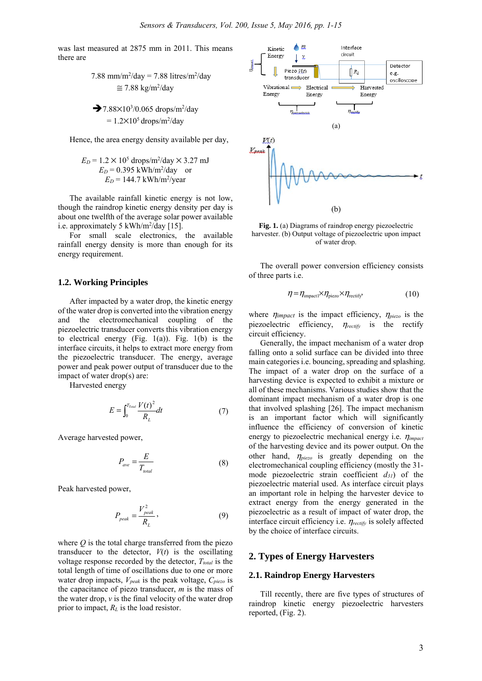was last measured at 2875 mm in 2011. This means there are

7.88 mm/m<sup>2</sup>/day = 7.88 litres/m<sup>2</sup>/day  
\n
$$
\approx
$$
 7.88 kg/m<sup>2</sup>/day

$$
7.88 \times 10^{3}/0.065 \text{ drops/m}^{2}/\text{day}
$$
  
= 1.2×10<sup>5</sup> drops/m<sup>2</sup>/day

Hence, the area energy density available per day,

$$
E_D = 1.2 \times 10^5
$$
 drops/m<sup>2</sup>/day × 3.27 mJ  
\n $E_D = 0.395$  kWh/m<sup>2</sup>/day or  
\n $E_D = 144.7$  kWh/m<sup>2</sup>/year

The available rainfall kinetic energy is not low, though the raindrop kinetic energy density per day is about one twelfth of the average solar power available i.e. approximately 5 kWh/m<sup>2</sup>/day [15].

For small scale electronics, the available rainfall energy density is more than enough for its energy requirement.

## **1.2. Working Principles**

After impacted by a water drop, the kinetic energy of the water drop is converted into the vibration energy and the electromechanical coupling of the piezoelectric transducer converts this vibration energy to electrical energy  $(Fig. 1(a))$ . Fig.  $1(b)$  is the interface circuits, it helps to extract more energy from the piezoelectric transducer. The energy, average power and peak power output of transducer due to the impact of water drop(s) are:

Harvested energy

$$
E = \int_0^{T_{\text{Total}}} \frac{V(t)^2}{R_L} dt \tag{7}
$$

Average harvested power,

$$
P_{ave} = \frac{E}{T_{total}} \tag{8}
$$

Peak harvested power,

$$
P_{peak} = \frac{V_{peak}^2}{R_L},\tag{9}
$$

where  $Q$  is the total charge transferred from the piezo transducer to the detector,  $V(t)$  is the oscillating voltage response recorded by the detector,  $T_{total}$  is the total length of time of oscillations due to one or more water drop impacts, *Vpeak* is the peak voltage, *Cpiezo* is the capacitance of piezo transducer, *m* is the mass of the water drop, *v* is the final velocity of the water drop prior to impact,  $R_L$  is the load resistor.



**Fig. 1.** (a) Diagrams of raindrop energy piezoelectric harvester. (b) Output voltage of piezoelectric upon impact of water drop.

The overall power conversion efficiency consists of three parts i.e.

$$
\eta = \eta_{\text{impact1}} \times \eta_{\text{piezo}} \times \eta_{\text{rectify}} \tag{10}
$$

where  $\eta_{\text{impact}}$  is the impact efficiency,  $\eta_{\text{piezo}}$  is the piezoelectric efficiency, η*rectify* is the rectify circuit efficiency.

Generally, the impact mechanism of a water drop falling onto a solid surface can be divided into three main categories i.e. bouncing, spreading and splashing. The impact of a water drop on the surface of a harvesting device is expected to exhibit a mixture or all of these mechanisms. Various studies show that the dominant impact mechanism of a water drop is one that involved splashing [26]. The impact mechanism is an important factor which will significantly influence the efficiency of conversion of kinetic energy to piezoelectric mechanical energy i.e. η*impact* of the harvesting device and its power output. On the other hand, η*piezo* is greatly depending on the electromechanical coupling efficiency (mostly the 31 mode piezoelectric strain coefficient *d31*) of the piezoelectric material used. As interface circuit plays an important role in helping the harvester device to extract energy from the energy generated in the piezoelectric as a result of impact of water drop, the interface circuit efficiency i.e. η*rectify* is solely affected by the choice of interface circuits.

## **2. Types of Energy Harvesters**

#### **2.1. Raindrop Energy Harvesters**

Till recently, there are five types of structures of raindrop kinetic energy piezoelectric harvesters reported, (Fig. 2).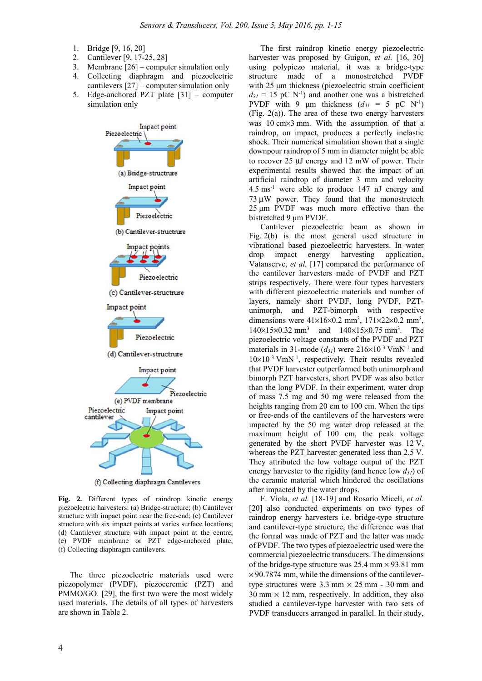- 1. Bridge [9, 16, 20]
- 2. Cantilever [9, 17-25, 28]
- 3. Membrane [26] computer simulation only
- 4. Collecting diaphragm and piezoelectric cantilevers [27] – computer simulation only
- 5. Edge-anchored PZT plate [31] computer simulation only



(f) Collecting diaphragm Cantilevers

**Fig. 2.** Different types of raindrop kinetic energy piezoelectric harvesters: (a) Bridge-structure; (b) Cantilever structure with impact point near the free-end; (c) Cantilever structure with six impact points at varies surface locations; (d) Cantilever structure with impact point at the centre; (e) PVDF membrane or PZT edge-anchored plate; (f) Collecting diaphragm cantilevers.

The three piezoelectric materials used were piezopolymer (PVDF), piezoceremic (PZT) and PMMO/GO. [29], the first two were the most widely used materials. The details of all types of harvesters are shown in Table 2.

The first raindrop kinetic energy piezoelectric harvester was proposed by Guigon, et al. [16, 30] using polypiezo material, it was a bridge-type structure made of a monostretched PVDF with 25 μm thickness (piezoelectric strain coefficient  $d_{31} = 15$  pC N<sup>-1</sup>) and another one was a bistretched PVDF with 9  $\mu$ m thickness ( $d_{31} = 5$  pC N<sup>-1</sup>) (Fig. 2(a)). The area of these two energy harvesters was 10 cm×3 mm. With the assumption of that a raindrop, on impact, produces a perfectly inelastic shock. Their numerical simulation shown that a single downpour raindrop of 5 mm in diameter might be able to recover 25 μJ energy and 12 mW of power. Their experimental results showed that the impact of an artificial raindrop of diameter 3 mm and velocity 4.5 ms-1 were able to produce 147 nJ energy and 73 μW power. They found that the monostretech 25 μm PVDF was much more effective than the bistretched 9 μm PVDF.

Cantilever piezoelectric beam as shown in Fig. 2(b) is the most general used structure in vibrational based piezoelectric harvesters. In water drop impact energy harvesting application, Vatanserve, *et al.* [17] compared the performance of the cantilever harvesters made of PVDF and PZT strips respectively. There were four types harvesters with different piezoelectric materials and number of layers, namely short PVDF, long PVDF, PZTunimorph, and PZT-bimorph with respective dimensions were  $41\times16\times0.2$  mm<sup>3</sup>,  $171\times22\times0.2$  mm<sup>3</sup>, 140×15×0.32 mm3 and 140×15×0.75 mm3 . The piezoelectric voltage constants of the PVDF and PZT materials in 31-mode  $(d_{31})$  were  $216\times10^{-3}$  VmN<sup>-1</sup> and  $10\times10^{-3}$  VmN<sup>-1</sup>, respectively. Their results revealed that PVDF harvester outperformed both unimorph and bimorph PZT harvesters, short PVDF was also better than the long PVDF. In their experiment, water drop of mass 7.5 mg and 50 mg were released from the heights ranging from 20 cm to 100 cm. When the tips or free-ends of the cantilevers of the harvesters were impacted by the 50 mg water drop released at the maximum height of 100 cm, the peak voltage generated by the short PVDF harvester was 12 V, whereas the PZT harvester generated less than 2.5 V. They attributed the low voltage output of the PZT energy harvester to the rigidity (and hence low *d31*) of the ceramic material which hindered the oscillations after impacted by the water drops.

F. Viola, *et al.* [18-19] and Rosario Miceli, *et al.* [20] also conducted experiments on two types of raindrop energy harvesters i.e. bridge-type structure and cantilever-type structure, the difference was that the formal was made of PZT and the latter was made of PVDF. The two types of piezoelectric used were the commercial piezoelectric transducers. The dimensions of the bridge-type structure was  $25.4$  mm  $\times$  93.81 mm  $\times$  90.7874 mm, while the dimensions of the cantilevertype structures were  $3.3$  mm  $\times$  25 mm - 30 mm and  $30 \text{ mm} \times 12 \text{ mm}$ , respectively. In addition, they also studied a cantilever-type harvester with two sets of PVDF transducers arranged in parallel. In their study,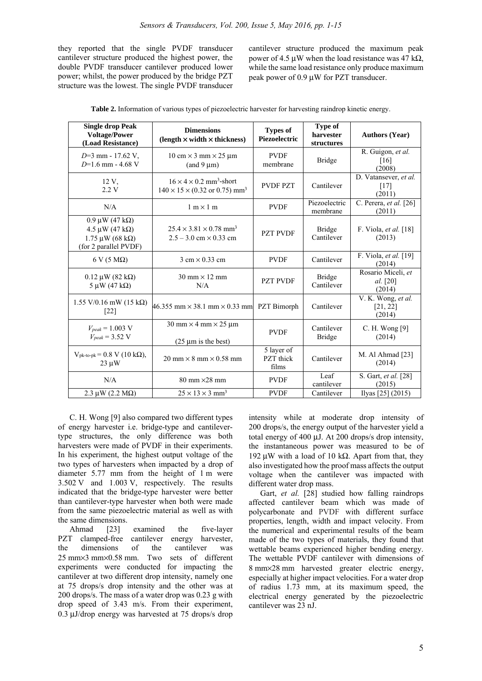they reported that the single PVDF transducer cantilever structure produced the highest power, the double PVDF transducer cantilever produced lower power; whilst, the power produced by the bridge PZT structure was the lowest. The single PVDF transducer cantilever structure produced the maximum peak power of 4.5 μW when the load resistance was 47 k $\Omega$ , while the same load resistance only produce maximum peak power of 0.9 μW for PZT transducer.

| <b>Single drop Peak</b><br><b>Voltage/Power</b><br>(Load Resistance)                             | <b>Dimensions</b><br>$(length \times width \times thickness)$                                                  | <b>Types of</b><br>Piezoelectric | <b>Type of</b><br>harvester<br>structures | <b>Authors (Year)</b>                    |
|--------------------------------------------------------------------------------------------------|----------------------------------------------------------------------------------------------------------------|----------------------------------|-------------------------------------------|------------------------------------------|
| D=3 mm - 17.62 V,<br>$D=1.6$ mm - 4.68 V                                                         | $10 \text{ cm} \times 3 \text{ mm} \times 25 \text{ µm}$<br>(and $9 \mu m$ )                                   | <b>PVDF</b><br>membrane          | <b>Bridge</b>                             | R. Guigon, et al.<br>[16]<br>(2008)      |
| $12V$ ,<br>2.2V                                                                                  | $16 \times 4 \times 0.2$ mm <sup>3</sup> -short<br>$140 \times 15 \times (0.32 \text{ or } 0.75) \text{ mm}^3$ | <b>PVDF PZT</b>                  | Cantilever                                | D. Vatansever, et al.<br>[17]<br>(2011)  |
| N/A                                                                                              | $1 m \times 1 m$                                                                                               | <b>PVDF</b>                      | Piezoelectric<br>membrane                 | C. Perera, et al. [26]<br>(2011)         |
| $0.9 \mu W (47 k\Omega)$<br>4.5 μW (47 kΩ)<br>$1.75 \mu W (68 k\Omega)$<br>(for 2 parallel PVDF) | $25.4 \times 3.81 \times 0.78$ mm <sup>3</sup><br>$2.5 - 3.0$ cm $\times$ 0.33 cm                              | <b>PZT PVDF</b>                  | <b>Bridge</b><br>Cantilever               | F. Viola, et al. [18]<br>(2013)          |
| $6 V (5 M\Omega)$                                                                                | $3 \text{ cm} \times 0.33 \text{ cm}$                                                                          | <b>PVDF</b>                      | Cantilever                                | F. Viola, et al. [19]<br>(2014)          |
| $0.12 \mu W (82 k\Omega)$<br>$5 \mu W (47 k\Omega)$                                              | $30 \text{ mm} \times 12 \text{ mm}$<br>N/A                                                                    | <b>PZT PVDF</b>                  | <b>Bridge</b><br>Cantilever               | Rosario Miceli, et<br>al. [20]<br>(2014) |
| $1.55$ V/0.16 mW (15 kΩ)<br>[22]                                                                 | $46.355$ mm $\times$ 38.1 mm $\times$ 0.33 mm PZT Bimorph                                                      |                                  | Cantilever                                | V. K. Wong, et al.<br>[21, 22]<br>(2014) |
| $V_{peak} = 1.003$ V<br>$V_{peak}$ = 3.52 V                                                      | $30 \text{ mm} \times 4 \text{ mm} \times 25 \text{ µm}$<br>$(25 \mu m)$ is the best)                          | <b>PVDF</b>                      | Cantilever<br><b>Bridge</b>               | C. H. Wong [9]<br>(2014)                 |
| $V_{\text{pk-to-pk}} = 0.8 \text{ V} (10 \text{ k}\Omega),$<br>$23 \mu W$                        | $20 \text{ mm} \times 8 \text{ mm} \times 0.58 \text{ mm}$                                                     | 5 layer of<br>PZT thick<br>films | Cantilever                                | M. Al Ahmad [23]<br>(2014)               |
| N/A                                                                                              | $80 \text{ mm} \times 28 \text{ mm}$                                                                           | <b>PVDF</b>                      | Leaf<br>cantilever                        | S. Gart, et al. [28]<br>(2015)           |
| $2.3 \mu W (2.2 M\Omega)$                                                                        | $25 \times 13 \times 3$ mm <sup>3</sup>                                                                        | <b>PVDF</b>                      | Cantilever                                | Ilyas [25] (2015)                        |

**Table 2.** Information of various types of piezoelectric harvester for harvesting raindrop kinetic energy.

C. H. Wong [9] also compared two different types of energy harvester i.e. bridge-type and cantilevertype structures, the only difference was both harvesters were made of PVDF in their experiments. In his experiment, the highest output voltage of the two types of harvesters when impacted by a drop of diameter 5.77 mm from the height of 1 m were 3.502 V and 1.003 V, respectively. The results indicated that the bridge-type harvester were better than cantilever-type harvester when both were made from the same piezoelectric material as well as with the same dimensions.

Ahmad [23] examined the five-layer PZT clamped-free cantilever energy harvester, the dimensions of the cantilever was 25 mm×3 mm×0.58 mm. Two sets of different experiments were conducted for impacting the cantilever at two different drop intensity, namely one at 75 drops/s drop intensity and the other was at 200 drops/s. The mass of a water drop was 0.23 g with drop speed of 3.43 m/s. From their experiment, 0.3 μJ/drop energy was harvested at 75 drops/s drop

intensity while at moderate drop intensity of 200 drops/s, the energy output of the harvester yield a total energy of 400 μJ. At 200 drops/s drop intensity, the instantaneous power was measured to be of 192 μW with a load of 10 kΩ. Apart from that, they also investigated how the proof mass affects the output voltage when the cantilever was impacted with different water drop mass.

Gart, *et al.* [28] studied how falling raindrops affected cantilever beam which was made of polycarbonate and PVDF with different surface properties, length, width and impact velocity. From the numerical and experimental results of the beam made of the two types of materials, they found that wettable beams experienced higher bending energy. The wettable PVDF cantilever with dimensions of 8 mm×28 mm harvested greater electric energy, especially at higher impact velocities. For a water drop of radius 1.73 mm, at its maximum speed, the electrical energy generated by the piezoelectric cantilever was 23 nJ.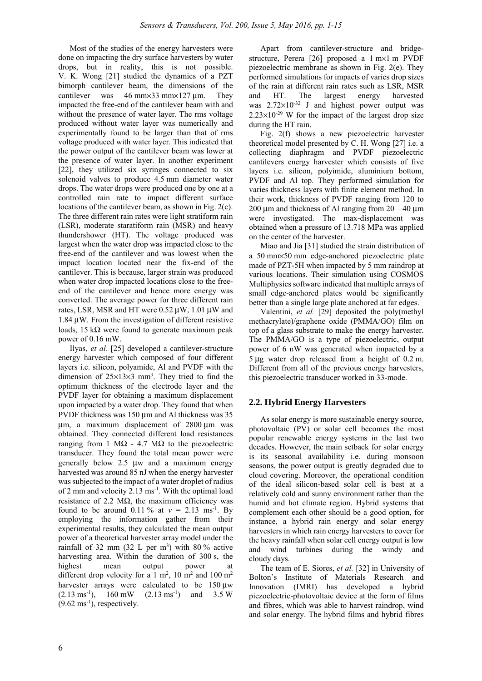Most of the studies of the energy harvesters were done on impacting the dry surface harvesters by water drops, but in reality, this is not possible. V. K. Wong [21] studied the dynamics of a PZT bimorph cantilever beam, the dimensions of the cantilever was 46 mm×33 mm×127 μm. They impacted the free-end of the cantilever beam with and without the presence of water layer. The rms voltage produced without water layer was numerically and experimentally found to be larger than that of rms voltage produced with water layer. This indicated that the power output of the cantilever beam was lower at the presence of water layer. In another experiment [22], they utilized six syringes connected to six solenoid valves to produce 4.5 mm diameter water drops. The water drops were produced one by one at a controlled rain rate to impact different surface locations of the cantilever beam, as shown in Fig. 2(c). The three different rain rates were light stratiform rain (LSR), moderate staratiform rain (MSR) and heavy thundershower (HT). The voltage produced was largest when the water drop was impacted close to the free-end of the cantilever and was lowest when the impact location located near the fix-end of the cantilever. This is because, larger strain was produced when water drop impacted locations close to the freeend of the cantilever and hence more energy was converted. The average power for three different rain rates, LSR, MSR and HT were  $0.52 \mu W$ ,  $1.01 \mu W$  and 1.84 μW. From the investigation of different resistive loads, 15 k $\Omega$  were found to generate maximum peak power of 0.16 mW.

Ilyas, *et al.* [25] developed a cantilever-structure energy harvester which composed of four different layers i.e. silicon, polyamide, Al and PVDF with the dimension of  $25\times13\times3$  mm<sup>3</sup>. They tried to find the optimum thickness of the electrode layer and the PVDF layer for obtaining a maximum displacement upon impacted by a water drop. They found that when PVDF thickness was 150 um and Al thickness was 35 μm, a maximum displacement of 2800 μm was obtained. They connected different load resistances ranging from 1 MΩ - 4.7 MΩ to the piezoelectric transducer. They found the total mean power were generally below 2.5 μw and a maximum energy harvested was around 85 nJ when the energy harvester was subjected to the impact of a water droplet of radius of 2 mm and velocity 2.13 ms-1. With the optimal load resistance of 2.2 MΩ, the maximum efficiency was found to be around 0.11 % at  $v = 2.13$  ms<sup>-1</sup>. By employing the information gather from their experimental results, they calculated the mean output power of a theoretical harvester array model under the rainfall of 32 mm  $(32 \text{ L per m}^3)$  with 80% active harvesting area. Within the duration of 300 s, the highest mean output power at different drop velocity for a 1 m<sup>2</sup>, 10 m<sup>2</sup> and 100 m<sup>2</sup> harvester arrays were calculated to be 150 μw  $(2.13 \text{ ms}^{-1})$ ,  $160 \text{ mW}$   $(2.13 \text{ ms}^{-1})$  and  $3.5 \text{ W}$  $(9.62 \text{ ms}^{-1})$ , respectively.

Apart from cantilever-structure and bridgestructure, Perera [26] proposed a 1 m×1 m PVDF piezoelectric membrane as shown in Fig. 2(e). They performed simulations for impacts of varies drop sizes of the rain at different rain rates such as LSR, MSR and HT. The largest energy harvested was  $2.72 \times 10^{-32}$  J and highest power output was  $2.23\times10^{-29}$  W for the impact of the largest drop size during the HT rain.

Fig. 2(f) shows a new piezoelectric harvester theoretical model presented by C. H. Wong [27] i.e. a collecting diaphragm and PVDF piezoelectric cantilevers energy harvester which consists of five layers i.e. silicon, polyimide, aluminium bottom, PVDF and Al top. They performed simulation for varies thickness layers with finite element method. In their work, thickness of PVDF ranging from 120 to 200 μm and thickness of Al ranging from  $20 - 40$  μm were investigated. The max-displacement was obtained when a pressure of 13.718 MPa was applied on the center of the harvester.

Miao and Jia [31] studied the strain distribution of a 50 mm×50 mm edge-anchored piezoelectric plate made of PZT-5H when impacted by 5 mm raindrop at various locations. Their simulation using COSMOS Multiphysics software indicated that multiple arrays of small edge-anchored plates would be significantly better than a single large plate anchored at far edges.

Valentini, *et al.* [29] deposited the poly(methyl methacrylate)/graphene oxide (PMMA/GO) film on top of a glass substrate to make the energy harvester. The PMMA/GO is a type of piezoelectric, output power of 6 nW was generated when impacted by a 5 μg water drop released from a height of 0.2 m. Different from all of the previous energy harvesters, this piezoelectric transducer worked in 33-mode.

# **2.2. Hybrid Energy Harvesters**

As solar energy is more sustainable energy source, photovoltaic (PV) or solar cell becomes the most popular renewable energy systems in the last two decades. However, the main setback for solar energy is its seasonal availability i.e. during monsoon seasons, the power output is greatly degraded due to cloud covering. Moreover, the operational condition of the ideal silicon-based solar cell is best at a relatively cold and sunny environment rather than the humid and hot climate region. Hybrid systems that complement each other should be a good option, for instance, a hybrid rain energy and solar energy harvesters in which rain energy harvesters to cover for the heavy rainfall when solar cell energy output is low and wind turbines during the windy and cloudy days.

The team of E. Siores, *et al.* [32] in University of Bolton's Institute of Materials Research and Innovation (IMRI) has developed a hybrid piezoelectric-photovoltaic device at the form of films and fibres, which was able to harvest raindrop, wind and solar energy. The hybrid films and hybrid fibres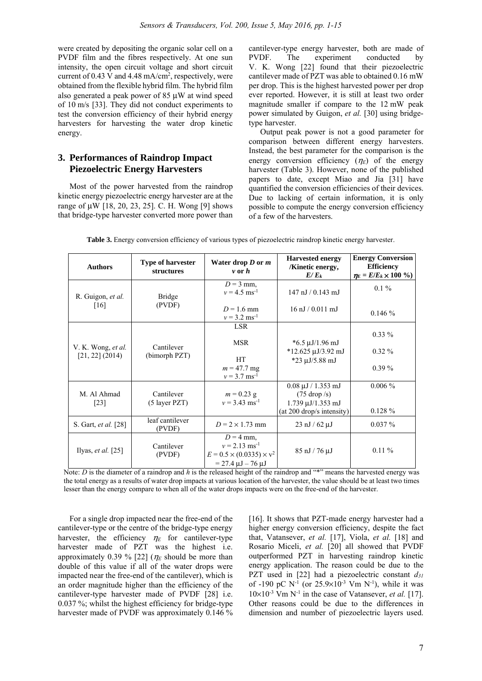were created by depositing the organic solar cell on a PVDF film and the fibres respectively. At one sun intensity, the open circuit voltage and short circuit current of  $0.43$  V and  $4.48$  mA/cm<sup>2</sup>, respectively, were obtained from the flexible hybrid film. The hybrid film also generated a peak power of 85 μW at wind speed of 10 m/s [33]. They did not conduct experiments to test the conversion efficiency of their hybrid energy harvesters for harvesting the water drop kinetic energy.

# **3. Performances of Raindrop Impact Piezoelectric Energy Harvesters**

Most of the power harvested from the raindrop kinetic energy piezoelectric energy harvester are at the range of μW [18, 20, 23, 25]. C. H. Wong [9] shows that bridge-type harvester converted more power than

cantilever-type energy harvester, both are made of PVDF. The experiment conducted by V. K. Wong [22] found that their piezoelectric cantilever made of PZT was able to obtained 0.16 mW per drop. This is the highest harvested power per drop ever reported. However, it is still at least two order magnitude smaller if compare to the 12 mW peak power simulated by Guigon, *et al.* [30] using bridgetype harvester.

Output peak power is not a good parameter for comparison between different energy harvesters. Instead, the best parameter for the comparison is the energy conversion efficiency  $(\eta_E)$  of the energy harvester (Table 3). However, none of the published papers to date, except Miao and Jia [31] have quantified the conversion efficiencies of their devices. Due to lacking of certain information, it is only possible to compute the energy conversion efficiency of a few of the harvesters.

| <b>Authors</b>                          | <b>Type of harvester</b><br><b>structures</b> | Water drop $D$ or $m$<br>$\nu$ or $\hbar$                                                                       | <b>Harvested energy</b><br>/Kinetic energy,<br>$E/E_k$                                                                  | <b>Energy Conversion</b><br><b>Efficiency</b><br>$\eta_E = E/E_k \times 100\%$ |
|-----------------------------------------|-----------------------------------------------|-----------------------------------------------------------------------------------------------------------------|-------------------------------------------------------------------------------------------------------------------------|--------------------------------------------------------------------------------|
| R. Guigon, et al.<br>[16]               | <b>Bridge</b><br>(PVDF)                       | $D = 3$ mm.<br>$v = 4.5$ ms <sup>-1</sup>                                                                       | $147$ nJ $/$ 0.143 mJ                                                                                                   | $0.1\%$                                                                        |
|                                         |                                               | $D = 1.6$ mm<br>$v = 3.2$ ms <sup>-1</sup>                                                                      | $16 \text{ nJ} / 0.011 \text{ mJ}$                                                                                      | 0.146%                                                                         |
| V. K. Wong, et al.<br>$[21, 22]$ (2014) | Cantilever<br>(bimorph PZT)                   | <b>LSR</b><br><b>MSR</b>                                                                                        | $*6.5 \mu J/1.96 \text{ mJ}$                                                                                            | $0.33\%$<br>$0.32\%$                                                           |
|                                         |                                               | <b>HT</b><br>$m = 47.7$ mg<br>$v = 3.7$ ms <sup>-1</sup>                                                        | *12.625 µJ/3.92 mJ<br>$*23 \mu J/5.88 \ mJ$                                                                             | $0.39\%$                                                                       |
| M. Al Ahmad<br>$[23]$                   | Cantilever<br>(5 layer PZT)                   | $m = 0.23$ g<br>$v = 3.43$ ms <sup>-1</sup>                                                                     | $0.08 \mu J / 1.353 \text{ mJ}$<br>$(75 \text{ drop}/s)$<br>$1.739 \mu J/1.353 \text{ mJ}$<br>(at 200 drop/s intensity) | $0.006\%$<br>$0.128 \%$                                                        |
| S. Gart, <i>et al.</i> [28]             | leaf cantilever<br>(PVDF)                     | $D = 2 \times 1.73$ mm                                                                                          | $23 \text{ nJ} / 62 \mu \text{J}$                                                                                       | $0.037\%$                                                                      |
| Ilyas, et al. $[25]$                    | Cantilever<br>(PVDF)                          | $D = 4$ mm.<br>$v = 2.13$ ms <sup>-1</sup><br>$E = 0.5 \times (0.0335) \times v^2$<br>$= 27.4 \mu J - 76 \mu J$ | $85 \text{ nJ} / 76 \mu \text{J}$                                                                                       | $0.11\%$                                                                       |

**Table 3.** Energy conversion efficiency of various types of piezoelectric raindrop kinetic energy harvester.

Note: *D* is the diameter of a raindrop and *h* is the released height of the raindrop and "\*" means the harvested energy was the total energy as a results of water drop impacts at various location of the harvester, the value should be at least two times lesser than the energy compare to when all of the water drops impacts were on the free-end of the harvester.

For a single drop impacted near the free-end of the cantilever-type or the centre of the bridge-type energy harvester, the efficiency  $\eta_E$  for cantilever-type harvester made of PZT was the highest i.e. approximately 0.39 % [22] ( $\eta_E$  should be more than double of this value if all of the water drops were impacted near the free-end of the cantilever), which is an order magnitude higher than the efficiency of the cantilever-type harvester made of PVDF [28] i.e. 0.037 %; whilst the highest efficiency for bridge-type harvester made of PVDF was approximately 0.146 %

[16]. It shows that PZT-made energy harvester had a higher energy conversion efficiency, despite the fact that, Vatansever, *et al.* [17], Viola, *et al.* [18] and Rosario Miceli, *et al.* [20] all showed that PVDF outperformed PZT in harvesting raindrop kinetic energy application. The reason could be due to the PZT used in [22] had a piezoelectric constant *d31* of -190 pC  $N^{-1}$  (or 25.9×10<sup>-3</sup> Vm  $N^{-1}$ ), while it was  $10\times10^{-3}$  Vm N<sup>-1</sup> in the case of Vatansever, *et al.* [17]. Other reasons could be due to the differences in dimension and number of piezoelectric layers used.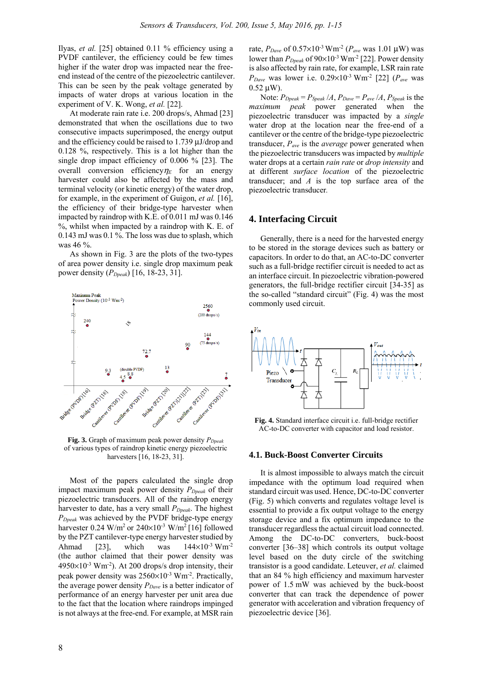Ilyas, *et al.* [25] obtained 0.11 % efficiency using a PVDF cantilever, the efficiency could be few times higher if the water drop was impacted near the freeend instead of the centre of the piezoelectric cantilever. This can be seen by the peak voltage generated by impacts of water drops at various location in the experiment of V. K. Wong, *et al.* [22].

At moderate rain rate i.e. 200 drops/s, Ahmad [23] demonstrated that when the oscillations due to two consecutive impacts superimposed, the energy output and the efficiency could be raised to 1.739 μJ/drop and 0.128 %, respectively. This is a lot higher than the single drop impact efficiency of 0.006 % [23]. The overall conversion efficiency $\eta_E$  for an energy harvester could also be affected by the mass and terminal velocity (or kinetic energy) of the water drop, for example, in the experiment of Guigon, *et al.* [16], the efficiency of their bridge-type harvester when impacted by raindrop with K.E. of 0.011 mJ was 0.146 %, whilst when impacted by a raindrop with K. E. of 0.143 mJ was 0.1 %. The loss was due to splash, which was 46 %.

As shown in Fig. 3 are the plots of the two-types of area power density i.e. single drop maximum peak power density (*PDpeak*) [16, 18-23, 31].



**Fig. 3.** Graph of maximum peak power density  $P_{\text{Dpeak}}$ of various types of raindrop kinetic energy piezoelectric harvesters [16, 18-23, 31].

Most of the papers calculated the single drop impact maximum peak power density  $P_{Dpeak}$  of their piezoelectric transducers. All of the raindrop energy harvester to date, has a very small  $P_{Dpeak}$ . The highest *PDpeak* was achieved by the PVDF bridge-type energy harvester  $0.24$  W/m<sup>2</sup> or  $240\times10^{-3}$  W/m<sup>2</sup> [16] followed by the PZT cantilever-type energy harvester studied by Ahmad [23], which was  $144\times10^{-3}$  Wm<sup>-2</sup> (the author claimed that their power density was  $4950\times10^{-3}$  Wm<sup>-2</sup>). At 200 drops/s drop intensity, their peak power density was  $2560\times10^{-3}$  Wm<sup>-2</sup>. Practically, the average power density  $P_{Dave}$  is a better indicator of performance of an energy harvester per unit area due to the fact that the location where raindrops impinged is not always at the free-end. For example, at MSR rain

rate,  $P_{Dave}$  of 0.57×10<sup>-3</sup> Wm<sup>-2</sup> ( $P_{ave}$  was 1.01 μW) was lower than  $P_{\text{Dpeak}}$  of 90×10<sup>-3</sup> Wm<sup>-2</sup> [22]. Power density is also affected by rain rate, for example, LSR rain rate *PDave* was lower i.e. 0.29×10-3 Wm-2 [22] (*Pave* was 0.52 μW).

Note:  $P_{Dpeak} = P_{Speak} / A$ ,  $P_{Dave} = P_{ave} / A$ ,  $P_{Speak}$  is the *maximum peak* power generated when the piezoelectric transducer was impacted by a *single* water drop at the location near the free-end of a cantilever or the centre of the bridge-type piezoelectric transducer, *Pave* is the *average* power generated when the piezoelectric transducers was impacted by *multiple* water drops at a certain *rain rate* or *drop intensity* and at different *surface location* of the piezoelectric transducer; and *A* is the top surface area of the piezoelectric transducer*.* 

## **4. Interfacing Circuit**

Generally, there is a need for the harvested energy to be stored in the storage devices such as battery or capacitors. In order to do that, an AC-to-DC converter such as a full-bridge rectifier circuit is needed to act as an interface circuit. In piezoelectric vibration-powered generators, the full-bridge rectifier circuit [34-35] as the so-called "standard circuit" (Fig. 4) was the most commonly used circuit.



**Fig. 4.** Standard interface circuit i.e. full-bridge rectifier AC-to-DC converter with capacitor and load resistor.

#### **4.1. Buck-Boost Converter Circuits**

It is almost impossible to always match the circuit impedance with the optimum load required when standard circuit was used. Hence, DC-to-DC converter (Fig. 5) which converts and regulates voltage level is essential to provide a fix output voltage to the energy storage device and a fix optimum impedance to the transducer regardless the actual circuit load connected. Among the DC-to-DC converters, buck-boost converter [36–38] which controls its output voltage level based on the duty circle of the switching transistor is a good candidate. Leteuver, *et al.* claimed that an 84 % high efficiency and maximum harvester power of 1.5 mW was achieved by the buck-boost converter that can track the dependence of power generator with acceleration and vibration frequency of piezoelectric device [36].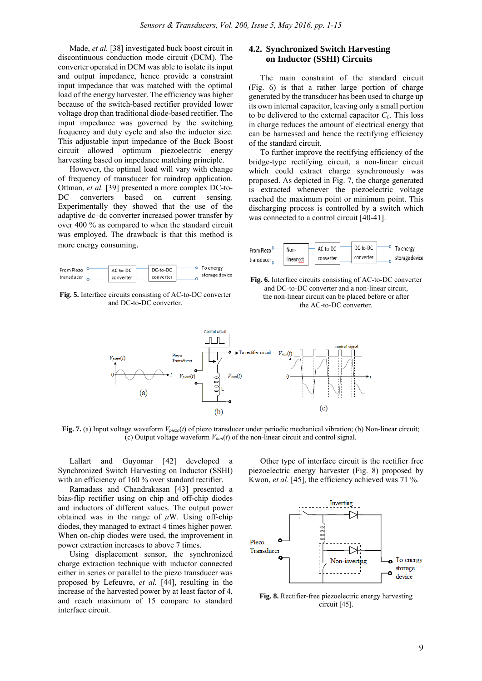Made, *et al.* [38] investigated buck boost circuit in discontinuous conduction mode circuit (DCM). The converter operated in DCM was able to isolate its input and output impedance, hence provide a constraint input impedance that was matched with the optimal load of the energy harvester. The efficiency was higher because of the switch-based rectifier provided lower voltage drop than traditional diode-based rectifier. The input impedance was governed by the switching frequency and duty cycle and also the inductor size. This adjustable input impedance of the Buck Boost circuit allowed optimum piezoelectric energy harvesting based on impedance matching principle.

However, the optimal load will vary with change of frequency of transducer for raindrop application. Ottman, *et al.* [39] presented a more complex DC-to-DC converters based on current sensing. Experimentally they showed that the use of the adaptive dc–dc converter increased power transfer by over 400 % as compared to when the standard circuit was employed. The drawback is that this method is more energy consuming.

**Fig. 5.** Interface circuits consisting of AC-to-DC converter and DC-to-DC converter.

# **4.2. Synchronized Switch Harvesting on Inductor (SSHI) Circuits**

The main constraint of the standard circuit (Fig. 6) is that a rather large portion of charge generated by the transducer has been used to charge up its own internal capacitor, leaving only a small portion to be delivered to the external capacitor  $C_L$ . This loss in charge reduces the amount of electrical energy that can be harnessed and hence the rectifying efficiency of the standard circuit.

To further improve the rectifying efficiency of the bridge-type rectifying circuit, a non-linear circuit which could extract charge synchronously was proposed. As depicted in Fig. 7, the charge generated is extracted whenever the piezoelectric voltage reached the maximum point or minimum point. This discharging process is controlled by a switch which was connected to a control circuit [40-41].







**Fig. 7.** (a) Input voltage waveform *Vpiezo*(*t*) of piezo transducer under periodic mechanical vibration; (b) Non-linear circuit; (c) Output voltage waveform *Vnon*(*t*) of the non-linear circuit and control signal.

Lallart and Guyomar [42] developed a Synchronized Switch Harvesting on Inductor (SSHI) with an efficiency of 160 % over standard rectifier.

Ramadass and Chandrakasan [43] presented a bias-flip rectifier using on chip and off-chip diodes and inductors of different values. The output power obtained was in the range of *μ*W. Using off-chip diodes, they managed to extract 4 times higher power. When on-chip diodes were used, the improvement in power extraction increases to above 7 times.

Using displacement sensor, the synchronized charge extraction technique with inductor connected either in series or parallel to the piezo transducer was proposed by Lefeuvre, *et al.* [44], resulting in the increase of the harvested power by at least factor of 4, and reach maximum of 15 compare to standard interface circuit.

Other type of interface circuit is the rectifier free piezoelectric energy harvester (Fig. 8) proposed by Kwon, *et al.* [45], the efficiency achieved was 71 %.



**Fig. 8.** Rectifier-free piezoelectric energy harvesting circuit [45].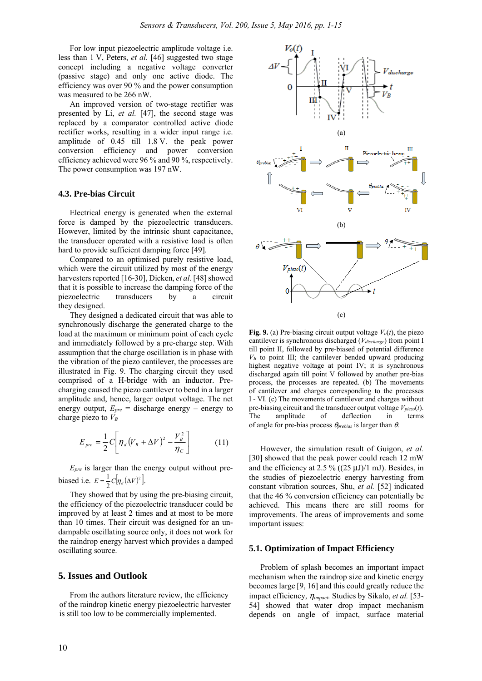For low input piezoelectric amplitude voltage i.e. less than 1 V, Peters, *et al.* [46] suggested two stage concept including a negative voltage converter (passive stage) and only one active diode. The efficiency was over 90 % and the power consumption was measured to be 266 nW.

An improved version of two-stage rectifier was presented by Li, *et al.* [47], the second stage was replaced by a comparator controlled active diode rectifier works, resulting in a wider input range i.e. amplitude of 0.45 till 1.8 V. the peak power conversion efficiency and power conversion efficiency achieved were 96 % and 90 %, respectively. The power consumption was 197 nW.

#### **4.3. Pre-bias Circuit**

Electrical energy is generated when the external force is damped by the piezoelectric transducers. However, limited by the intrinsic shunt capacitance, the transducer operated with a resistive load is often hard to provide sufficient damping force [49].

Compared to an optimised purely resistive load, which were the circuit utilized by most of the energy harvesters reported [16-30], Dicken, *et al.* [48] showed that it is possible to increase the damping force of the piezoelectric transducers by a circuit they designed.

They designed a dedicated circuit that was able to synchronously discharge the generated charge to the load at the maximum or minimum point of each cycle and immediately followed by a pre-charge step. With assumption that the charge oscillation is in phase with the vibration of the piezo cantilever, the processes are illustrated in Fig. 9. The charging circuit they used comprised of a H-bridge with an inductor. Precharging caused the piezo cantilever to bend in a larger amplitude and, hence, larger output voltage. The net energy output,  $E_{pre}$  = discharge energy – energy to charge piezo to  $V_B$ 

$$
E_{pre} = \frac{1}{2} C \left[ \eta_a (V_B + \Delta V)^2 - \frac{V_B^2}{\eta_c} \right]
$$
 (11)

*Epre* is larger than the energy output without prebiased i.e.  $E = \frac{1}{2} C [\eta_d (\Delta V)^2]$ .

They showed that by using the pre-biasing circuit, the efficiency of the piezoelectric transducer could be improved by at least 2 times and at most to be more than 10 times. Their circuit was designed for an undampable oscillating source only, it does not work for the raindrop energy harvest which provides a damped oscillating source.

#### **5. Issues and Outlook**

From the authors literature review, the efficiency of the raindrop kinetic energy piezoelectric harvester is still too low to be commercially implemented.



**Fig. 9.** (a) Pre-biasing circuit output voltage  $V_o(t)$ , the piezo cantilever is synchronous discharged (*Vdischarge*) from point I till point II, followed by pre-biased of potential difference  $V_B$  to point III; the cantilever bended upward producing highest negative voltage at point IV; it is synchronous discharged again till point V followed by another pre-bias process, the processes are repeated. (b) The movements of cantilever and charges corresponding to the processes I - VI. (c) The movements of cantilever and charges without pre-biasing circuit and the transducer output voltage  $V_{piezo}(t)$ . The amplitude of deflection in terms of angle for pre-bias process θ*prebias* is larger than θ.

However, the simulation result of Guigon, *et al.* [30] showed that the peak power could reach 12 mW and the efficiency at 2.5 % ( $(25 \mu J)/1$  mJ). Besides, in the studies of piezoelectric energy harvesting from constant vibration sources, Shu, *et al.* [52] indicated that the 46 % conversion efficiency can potentially be achieved. This means there are still rooms for improvements. The areas of improvements and some important issues:

#### **5.1. Optimization of Impact Efficiency**

Problem of splash becomes an important impact mechanism when the raindrop size and kinetic energy becomes large [9, 16] and this could greatly reduce the impact efficiency, η*impact.* Studies by Sikalo, *et al.* [53- 54] showed that water drop impact mechanism depends on angle of impact, surface material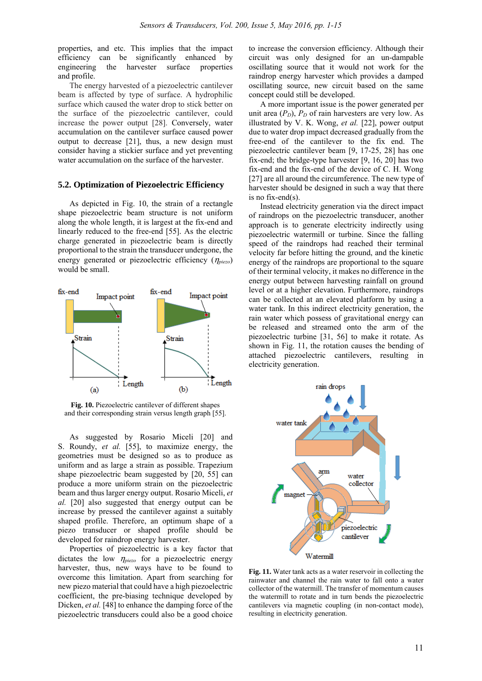properties, and etc. This implies that the impact efficiency can be significantly enhanced by engineering the harvester surface properties and profile.

The energy harvested of a piezoelectric cantilever beam is affected by type of surface. A hydrophilic surface which caused the water drop to stick better on the surface of the piezoelectric cantilever, could increase the power output [28]. Conversely, water accumulation on the cantilever surface caused power output to decrease [21], thus, a new design must consider having a stickier surface and yet preventing water accumulation on the surface of the harvester.

#### **5.2. Optimization of Piezoelectric Efficiency**

As depicted in Fig. 10, the strain of a rectangle shape piezoelectric beam structure is not uniform along the whole length, it is largest at the fix-end and linearly reduced to the free-end [55]. As the electric charge generated in piezoelectric beam is directly proportional to the strain the transducer undergone, the energy generated or piezoelectric efficiency (η*piezo*) would be small.



**Fig. 10.** Piezoelectric cantilever of different shapes and their corresponding strain versus length graph [55].

As suggested by Rosario Miceli [20] and S. Roundy, *et al.* [55], to maximize energy, the geometries must be designed so as to produce as uniform and as large a strain as possible. Trapezium shape piezoelectric beam suggested by [20, 55] can produce a more uniform strain on the piezoelectric beam and thus larger energy output. Rosario Miceli, *et al.* [20] also suggested that energy output can be increase by pressed the cantilever against a suitably shaped profile. Therefore, an optimum shape of a piezo transducer or shaped profile should be developed for raindrop energy harvester.

Properties of piezoelectric is a key factor that dictates the low η*piezo* for a piezoelectric energy harvester, thus, new ways have to be found to overcome this limitation. Apart from searching for new piezo material that could have a high piezoelectric coefficient, the pre-biasing technique developed by Dicken, *et al.* [48] to enhance the damping force of the piezoelectric transducers could also be a good choice

to increase the conversion efficiency. Although their circuit was only designed for an un-dampable oscillating source that it would not work for the raindrop energy harvester which provides a damped oscillating source, new circuit based on the same concept could still be developed.

A more important issue is the power generated per unit area  $(P_D)$ ,  $P_D$  of rain harvesters are very low. As illustrated by V. K. Wong, *et al.* [22], power output due to water drop impact decreased gradually from the free-end of the cantilever to the fix end. The piezoelectric cantilever beam [9, 17-25, 28] has one fix-end; the bridge-type harvester [9, 16, 20] has two fix-end and the fix-end of the device of C. H. Wong [27] are all around the circumference. The new type of harvester should be designed in such a way that there is no fix-end(s).

Instead electricity generation via the direct impact of raindrops on the piezoelectric transducer, another approach is to generate electricity indirectly using piezoelectric watermill or turbine. Since the falling speed of the raindrops had reached their terminal velocity far before hitting the ground, and the kinetic energy of the raindrops are proportional to the square of their terminal velocity, it makes no difference in the energy output between harvesting rainfall on ground level or at a higher elevation. Furthermore, raindrops can be collected at an elevated platform by using a water tank. In this indirect electricity generation, the rain water which possess of gravitational energy can be released and streamed onto the arm of the piezoelectric turbine [31, 56] to make it rotate. As shown in Fig. 11, the rotation causes the bending of attached piezoelectric cantilevers, resulting in electricity generation.



**Fig. 11.** Water tank acts as a water reservoir in collecting the rainwater and channel the rain water to fall onto a water collector of the watermill. The transfer of momentum causes the watermill to rotate and in turn bends the piezoelectric cantilevers via magnetic coupling (in non-contact mode), resulting in electricity generation.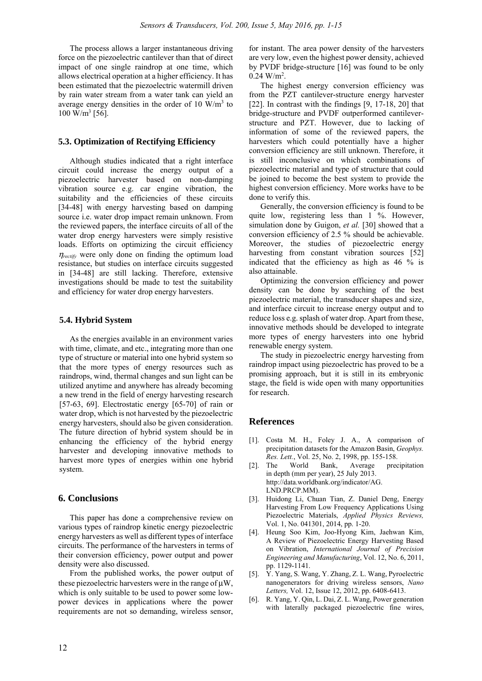The process allows a larger instantaneous driving force on the piezoelectric cantilever than that of direct impact of one single raindrop at one time, which allows electrical operation at a higher efficiency. It has been estimated that the piezoelectric watermill driven by rain water stream from a water tank can yield an average energy densities in the order of  $10 \text{ W/m}^3$  to  $100 \text{ W/m}^3$  [56].

#### **5.3. Optimization of Rectifying Efficiency**

Although studies indicated that a right interface circuit could increase the energy output of a piezoelectric harvester based on non-damping vibration source e.g. car engine vibration, the suitability and the efficiencies of these circuits [34-48] with energy harvesting based on damping source i.e. water drop impact remain unknown. From the reviewed papers, the interface circuits of all of the water drop energy harvesters were simply resistive loads. Efforts on optimizing the circuit efficiency *n*<sub>rectify</sub> were only done on finding the optimum load resistance, but studies on interface circuits suggested in [34-48] are still lacking. Therefore, extensive investigations should be made to test the suitability and efficiency for water drop energy harvesters.

#### **5.4. Hybrid System**

As the energies available in an environment varies with time, climate, and etc., integrating more than one type of structure or material into one hybrid system so that the more types of energy resources such as raindrops, wind, thermal changes and sun light can be utilized anytime and anywhere has already becoming a new trend in the field of energy harvesting research [57-63, 69]. Electrostatic energy [65-70] of rain or water drop, which is not harvested by the piezoelectric energy harvesters, should also be given consideration. The future direction of hybrid system should be in enhancing the efficiency of the hybrid energy harvester and developing innovative methods to harvest more types of energies within one hybrid system.

#### **6. Conclusions**

This paper has done a comprehensive review on various types of raindrop kinetic energy piezoelectric energy harvesters as well as different types of interface circuits. The performance of the harvesters in terms of their conversion efficiency, power output and power density were also discussed.

From the published works, the power output of these piezoelectric harvesters were in the range of μW, which is only suitable to be used to power some lowpower devices in applications where the power requirements are not so demanding, wireless sensor,

for instant. The area power density of the harvesters are very low, even the highest power density, achieved by PVDF bridge-structure [16] was found to be only  $0.24$  W/m<sup>2</sup>.

The highest energy conversion efficiency was from the PZT cantilever-structure energy harvester [22]. In contrast with the findings [9, 17-18, 20] that bridge-structure and PVDF outperformed cantileverstructure and PZT. However, due to lacking of information of some of the reviewed papers, the harvesters which could potentially have a higher conversion efficiency are still unknown. Therefore, it is still inconclusive on which combinations of piezoelectric material and type of structure that could be joined to become the best system to provide the highest conversion efficiency. More works have to be done to verify this.

Generally, the conversion efficiency is found to be quite low, registering less than 1 %. However, simulation done by Guigon, *et al.* [30] showed that a conversion efficiency of 2.5 % should be achievable. Moreover, the studies of piezoelectric energy harvesting from constant vibration sources [52] indicated that the efficiency as high as 46 % is also attainable.

Optimizing the conversion efficiency and power density can be done by searching of the best piezoelectric material, the transducer shapes and size, and interface circuit to increase energy output and to reduce loss e.g. splash of water drop. Apart from these, innovative methods should be developed to integrate more types of energy harvesters into one hybrid renewable energy system.

The study in piezoelectric energy harvesting from raindrop impact using piezoelectric has proved to be a promising approach, but it is still in its embryonic stage, the field is wide open with many opportunities for research.

# **References**

- [1]. Costa M. H., Foley J. A., A comparison of precipitation datasets for the Amazon Basin, *Geophys. Res. Lett.*, Vol. 25, No. 2, 1998, pp. 155-158.
- [2]. The World Bank, Average precipitation in depth (mm per year), 25 July 2013. http://data.worldbank.org/indicator/AG. LND.PRCP.MM).
- [3]. Huidong Li, Chuan Tian, Z. Daniel Deng, Energy Harvesting From Low Frequency Applications Using Piezoelectric Materials, *Applied Physics Reviews,* Vol. 1, No. 041301, 2014, pp. 1-20.
- [4]. Heung Soo Kim, Joo-Hyong Kim, Jaehwan Kim, A Review of Piezoelectric Energy Harvesting Based on Vibration, *International Journal of Precision Engineering and Manufacturing*, Vol. 12, No. 6, 2011, pp. 1129-1141.
- [5]. Y. Yang, S. Wang, Y. Zhang, Z. L. Wang, Pyroelectric nanogenerators for driving wireless sensors, *Nano Letters,* Vol. 12, Issue 12, 2012, pp. 6408-6413.
- [6]. R. Yang, Y. Qin, L. Dai, Z. L. Wang, Power generation with laterally packaged piezoelectric fine wires,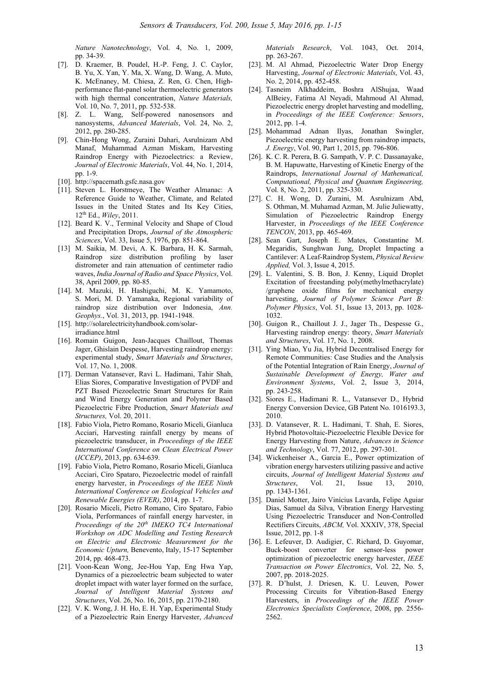*Nature Nanotechnology*, Vol. 4, No. 1, 2009, pp. 34-39.

- [7]. D. Kraemer, B. Poudel, H.-P. Feng, J. C. Caylor, B. Yu, X. Yan, Y. Ma, X. Wang, D. Wang, A. Muto, K. McEnaney, M. Chiesa, Z. Ren, G. Chen, Highperformance flat-panel solar thermoelectric generators with high thermal concentration, *Nature Materials,*  Vol. 10, No. 7, 2011, pp. 532-538.
- [8]. Z. L. Wang, Self-powered nanosensors and nanosystems, *Advanced Materials*, Vol. 24, No. 2, 2012, pp. 280-285.
- [9]. Chin-Hong Wong, Zuraini Dahari, Asrulnizam Abd Manaf, Muhammad Azman Miskam, Harvesting Raindrop Energy with Piezoelectrics: a Review, *Journal of Electronic Materials*, Vol. 44, No. 1, 2014, pp. 1-9.
- [10]. http://spacemath.gsfc.nasa.gov
- [11]. Steven L. Horstmeye, The Weather Almanac: A Reference Guide to Weather, Climate, and Related Issues in the United States and Its Key Cities, 12th Ed., *Wiley*, 2011.
- [12]. Beard K. V., Terminal Velocity and Shape of Cloud and Precipitation Drops, *Journal of the Atmospheric Sciences*, Vol. 33, Issue 5, 1976, pp. 851-864.
- [13] M. Saikia, M. Devi, A. K. Barbara, H. K. Sarmah, Raindrop size distribution profiling by laser distrometer and rain attenuation of centimeter radio waves, *India Journal of Radio and Space Physics*, Vol. 38, April 2009, pp. 80-85.
- [14]. M. Mazuki, H. Hashiguchi, M. K. Yamamoto, S. Mori, M. D. Yamanaka, Regional variability of raindrop size distribution over Indonesia, *Ann. Geophys.*, Vol. 31, 2013, pp. 1941-1948.
- [15]. http://solarelectricityhandbook.com/solarirradiance.html
- [16]. Romain Guigon, Jean-Jacques Chaillout, Thomas Jager, Ghislain Despesse, Harvesting raindrop energy: experimental study, *Smart Materials and Structures*, Vol. 17, No. 1, 2008.
- [17]. Derman Vatansever, Ravi L. Hadimani, Tahir Shah, Elias Siores, Comparative Investigation of PVDF and PZT Based Piezoelectric Smart Structures for Rain and Wind Energy Generation and Polymer Based Piezoelectric Fibre Production, *Smart Materials and Structures,* Vol. 20, 2011.
- [18]. Fabio Viola, Pietro Romano, Rosario Miceli, Gianluca Acciari, Harvesting rainfall energy by means of piezoelectric transducer, in *Proceedings of the IEEE International Conference on Clean Electrical Power* (*ICCEP)*, 2013, pp. 634-639.
- [19]. Fabio Viola, Pietro Romano, Rosario Miceli, Gianluca Acciari, Ciro Spataro, Piezoelectric model of rainfall energy harvester, in *Proceedings of the IEEE Ninth International Conference on Ecological Vehicles and Renewable Energies (EVER)*, 2014, pp. 1-7.
- [20]. Rosario Miceli, Pietro Romano, Ciro Spataro, Fabio Viola, Performances of rainfall energy harvester, in *Proceedings of the 20th IMEKO TC4 International Workshop on ADC Modelling and Testing Research on Electric and Electronic Measurement for the Economic Upturn,* Benevento, Italy, 15-17 September 2014, pp. 468-473.
- [21]. Voon-Kean Wong, Jee-Hou Yap, Eng Hwa Yap, Dynamics of a piezoelectric beam subjected to water droplet impact with water layer formed on the surface, *Journal of Intelligent Material Systems and Structures*, Vol. 26, No. 16, 2015, pp. 2170-2180.
- [22]. V. K. Wong, J. H. Ho, E. H. Yap, Experimental Study of a Piezoelectric Rain Energy Harvester, *Advanced*

*Materials Research*, Vol. 1043, Oct. 2014, pp. 263-267.

- [23]. M. Al Ahmad, Piezoelectric Water Drop Energy Harvesting, *Journal of Electronic Materials*, Vol. 43, No. 2, 2014, pp. 452-458.
- [24]. Tasneim Alkhaddeim, Boshra AlShujaa, Waad AlBeiey, Fatima Al Neyadi, Mahmoud Al Ahmad, Piezoelectric energy droplet harvesting and modelling, in *Proceedings of the IEEE Conference: Sensors*, 2012, pp. 1-4.
- [25]. Mohammad Adnan Ilyas, Jonathan Swingler, Piezoelectric energy harvesting from raindrop impacts, *J. Energy*, Vol. 90, Part 1, 2015, pp. 796-806.
- [26]. K. C. R. Perera, B. G. Sampath, V. P. C. Dassanayake, B. M. Hapuwatte, Harvesting of Kinetic Energy of the Raindrops, *International Journal of Mathematical, Computational, Physical and Quantum Engineering,* Vol. 8, No. 2, 2011, pp. 325-330.
- [27]. C. H. Wong, D. Zuraini, M. Asrulnizam Abd, S. Othman, M. Muhamad Azman, M. Julie Juliewatty, Simulation of Piezoelectric Raindrop Energy Harvester, in *Proceedings of the IEEE Conference TENCON*, 2013, pp. 465-469.
- [28]. Sean Gart, Joseph E. Mates, Constantine M. Megaridis, Sunghwan Jung, Droplet Impacting a Cantilever: A Leaf-Raindrop System, *Physical Review Applied,* Vol. 3, Issue 4, 2015.
- [29]. L. Valentini, S. B. Bon, J. Kenny, Liquid Droplet Excitation of freestanding poly(methylmethacrylate) /graphene oxide films for mechanical energy harvesting, *Journal of Polymer Science Part B: Polymer Physics*, Vol. 51, Issue 13, 2013, pp. 1028*-* 1032.
- [30]. Guigon R., Chaillout J. J., Jager Th., Despesse G., Harvesting raindrop energy: theory, *Smart Materials and Structures*, Vol. 17, No. 1, 2008.
- [31]. Ying Miao, Yu Jia, Hybrid Decentralised Energy for Remote Communities: Case Studies and the Analysis of the Potential Integration of Rain Energy, *Journal of Sustainable Development of Energy, Water and Environment Systems*, Vol. 2, Issue 3, 2014, pp. 243-258.
- [32]. Siores E., Hadimani R. L., Vatansever D., Hybrid Energy Conversion Device, GB Patent No. 1016193.3, 2010.
- [33]. D. Vatansever, R. L. Hadimani, T. Shah, E. Siores, Hybrid Photovoltaic-Piezoelectric Flexible Device for Energy Harvesting from Nature, *Advances in Science and Technology*, Vol. 77, 2012, pp. 297-301.
- [34]. Wickenheiser A., Garcia E., Power optimization of vibration energy harvesters utilizing passive and active circuits, *Journal of Intelligent Material Systems and Structures*, Vol. 21, Issue 13, 2010, pp. 1343-1361.
- [35]. Daniel Motter, Jairo Vinícius Lavarda, Felipe Aguiar Dias, Samuel da Silva, Vibration Energy Harvesting Using Piezoelectric Transducer and Non-Controlled Rectifiers Circuits, *ABCM,* Vol. XXXIV, 378, Special Issue, 2012, pp. 1-8
- [36]. E. Lefeuver, D. Audigier, C. Richard, D. Guyomar, Buck-boost converter for sensor-less power optimization of piezoelectric energy harvester, *IEEE Transaction on Power Electronics*, Vol. 22, No. 5, 2007, pp. 2018-2025.
- [37]. R. D'hulst, J. Driesen, K. U. Leuven, Power Processing Circuits for Vibration-Based Energy Harvesters, in *Proceedings of the IEEE Power Electronics Specialists Conference*, 2008, pp. 2556- 2562.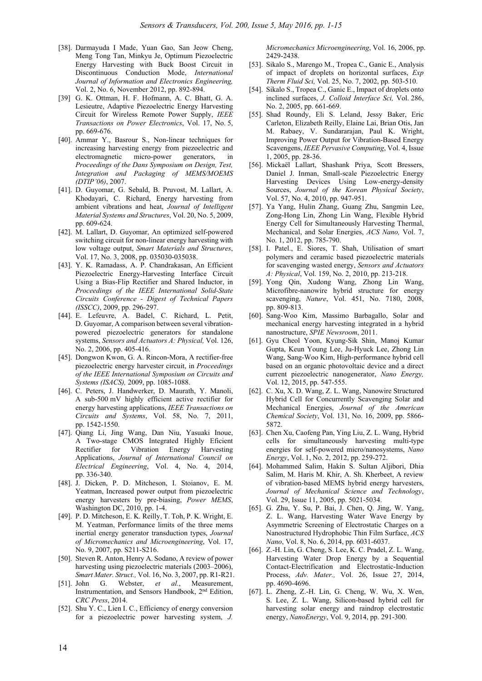- [38]. Darmayuda I Made, Yuan Gao, San Jeow Cheng, Meng Tong Tan, Minkyu Je, Optimum Piezoelectric Energy Harvesting with Buck Boost Circuit in Discontinuous Conduction Mode, *International Journal of Information and Electronics Engineering,*  Vol. 2, No. 6, November 2012, pp. 892-894.
- [39] G. K. Ottman, H. F. Hofmann, A. C. Bhatt, G. A. Lesieutre, Adaptive Piezoelectric Energy Harvesting Circuit for Wireless Remote Power Supply, *IEEE Transactions on Power Electronics*, Vol. 17, No. 5, pp. 669-676.
- [40]. Ammar Y., Basrour S., Non-linear techniques for increasing harvesting energy from piezoelectric and electromagnetic micro-power generators, in *Proceedings of the Dans Symposium on Design, Test, Integration and Packaging of MEMS/MOEMS (DTIP'06)*, 2007.
- [41]. D. Guyomar, G. Sebald, B. Pruvost, M. Lallart, A. Khodayari, C. Richard, Energy harvesting from ambient vibrations and heat, *Journal of Intelligent Material Systems and Structures*, Vol. 20, No. 5, 2009, pp. 609-624.
- [42]. M. Lallart, D. Guvomar, An optimized self-powered switching circuit for non-linear energy harvesting with low voltage output, *Smart Materials and Structures*, Vol. 17, No. 3, 2008, pp. 035030-035038.
- [43]. Y. K. Ramadass, A. P. Chandrakasan, An Efficient Piezoelectric Energy-Harvesting Interface Circuit Using a Bias-Flip Rectifier and Shared Inductor, in *Proceedings of the IEEE International Solid-State Circuits Conference - Digest of Technical Papers (ISSCC)*, 2009, pp. 296-297.
- [44]. E. Lefeuvre, A. Badel, C. Richard, L. Petit, D. Guyomar, A comparison between several vibrationpowered piezoelectric generators for standalone systems, *Sensors and Actuators A: Physical,* Vol. 126, No. 2, 2006, pp. 405-416.
- [45]. Dongwon Kwon, G. A. Rincon-Mora, A rectifier-free piezoelectric energy harvester circuit, in *Proceedings of the IEEE International Symposium on Circuits and Systems (ISACS),* 2009, pp. 1085-1088.
- [46]. C. Peters, J. Handwerker, D. Maurath, Y. Manoli, A sub-500 mV highly efficient active rectifier for energy harvesting applications, *IEEE Transactions on Circuits and Systems*, Vol. 58, No. 7, 2011, pp. 1542-1550.
- [47]. Qiang Li, Jing Wang, Dan Niu, Yasuaki Inoue, A Two-stage CMOS Integrated Highly Eficient Rectifier for Vibration Energy Harvesting Applications, *Journal of International Council on Electrical Engineering*, Vol. 4, No. 4, 2014, pp. 336-340.
- [48]. J. Dicken, P. D. Mitcheson, I. Stoianov, E. M. Yeatman, Increased power output from piezoelectric energy harvesters by pre-biasing, *Power MEMS*, Washington DC, 2010, pp. 1-4.
- [49]. P. D. Mitcheson, E. K. Reilly, T. Toh, P. K. Wright, E. M. Yeatman, Performance limits of the three mems inertial energy generator transduction types, *Journal of Micromechanics and Microengineering*, Vol. 17, No. 9, 2007, pp. S211-S216.
- [50]. Steven R. Anton, Henry A. Sodano, A review of power harvesting using piezoelectric materials (2003–2006), *Smart Mater. Struct.,* Vol. 16, No. 3, 2007, pp. R1-R21.
- [51]. John G. Webster, *et al.*, Measurement, Instrumentation, and Sensors Handbook, 2nd Edition, *CRC Press*, 2014.
- [52]. Shu Y. C., Lien I. C., Efficiency of energy conversion for a piezoelectric power harvesting system, *J.*

*Micromechanics Microengineering*, Vol. 16, 2006, pp. 2429-2438.

- [53]. Sikalo S., Marengo M., Tropea C., Ganic E., Analysis of impact of droplets on horizontal surfaces, *Exp Therm Fluid Sci,* Vol. 25, No. 7, 2002, pp. 503-510.
- [54]. Sikalo S., Tropea C., Ganic E., Impact of droplets onto inclined surfaces, *J. Colloid Interface Sci,* Vol. 286, No. 2, 2005, pp. 661-669.
- [55]. Shad Roundy, Eli S. Leland, Jessy Baker, Eric Carleton, Elizabeth Reilly, Elaine Lai, Brian Otis, Jan M. Rabaey, V. Sundararajan, Paul K. Wright, Improving Power Output for Vibration-Based Energy Scavengens, *IEEE Pervasive Computing*, Vol. 4, Issue 1, 2005, pp. 28-36.
- [56]. Mickaël Lallart, Shashank Priya, Scott Bressers, Daniel J. Inman, Small-scale Piezoelectric Energy Harvesting Devices Using Low-energy-density Sources, *Journal of the Korean Physical Society*, Vol. 57, No. 4, 2010, pp. 947-951.
- [57]. Ya Yang, Hulin Zhang, Guang Zhu, Sangmin Lee, Zong-Hong Lin, Zhong Lin Wang, Flexible Hybrid Energy Cell for Simultaneously Harvesting Thermal, Mechanical, and Solar Energies, *ACS Nano,* Vol. 7, No. 1, 2012, pp. 785-790.
- [58]. I. Patel., E. Siores, T. Shah, Utilisation of smart polymers and ceramic based piezoelectric materials for scavenging wasted energy, *Sensors and Actuators A: Physical*, Vol. 159, No. 2, 2010, pp. 213-218.
- [59]. Yong Qin, Xudong Wang, Zhong Lin Wang, Microfibre-nanowire hybrid structure for energy scavenging, *Nature*, Vol. 451, No. 7180, 2008, pp. 809-813.
- [60]. Sang-Woo Kim, Massimo Barbagallo, Solar and mechanical energy harvesting integrated in a hybrid nanostructure, *SPIE Newsroom*, 2011.
- [61]. Gyu Cheol Yoon, Kyung-Sik Shin, Manoj Kumar Gupta, Keun Young Lee, Ju-Hyuck Lee, Zhong Lin Wang, Sang-Woo Kim, High-performance hybrid cell based on an organic photovoltaic device and a direct current piezoelectric nanogenerator, *Nano Energy,* Vol. 12, 2015, pp. 547-555.
- [62]. C. Xu, X. D. Wang, Z. L. Wang, Nanowire Structured Hybrid Cell for Concurrently Scavenging Solar and Mechanical Energies, *Journal of the American Chemical Society*, Vol. 131, No. 16, 2009, pp. 5866- 5872.
- [63]. Chen Xu, Caofeng Pan, Ying Liu, Z. L. Wang, Hybrid cells for simultaneously harvesting multi-type energies for self-powered micro/nanosystems, *Nano Energy*, Vol. 1, No. 2, 2012, pp. 259-272.
- [64]. Mohammed Salim, Hakin S. Sultan Aljibori, Dhia Salim, M. Haris M. Khir, A. Sh. Kherbeet, A review of vibration-based MEMS hybrid energy harvesters, *Journal of Mechanical Science and Technology*, Vol. 29, Issue 11, 2005, pp. 5021-5034.
- [65]. G. Zhu, Y. Su, P. Bai, J. Chen, Q. Jing, W. Yang, Z. L. Wang, Harvesting Water Wave Energy by Asymmetric Screening of Electrostatic Charges on a Nanostructured Hydrophobic Thin Film Surface, *ACS Nano*, Vol. 8, No. 6, 2014, pp. 6031-6037.
- [66]. Z.-H. Lin, G. Cheng, S. Lee, K. C. Pradel, Z. L. Wang, Harvesting Water Drop Energy by a Sequential Contact-Electrification and Electrostatic-Induction Process, *Adv. Mater.,* Vol. 26, Issue 27, 2014, pp. 4690-4696.
- [67]. L. Zheng, Z.-H. Lin, G. Cheng, W. Wu, X. Wen, S. Lee, Z. L. Wang, Silicon-based hybrid cell for harvesting solar energy and raindrop electrostatic energy, *NanoEnergy*, Vol. 9, 2014, pp. 291-300.